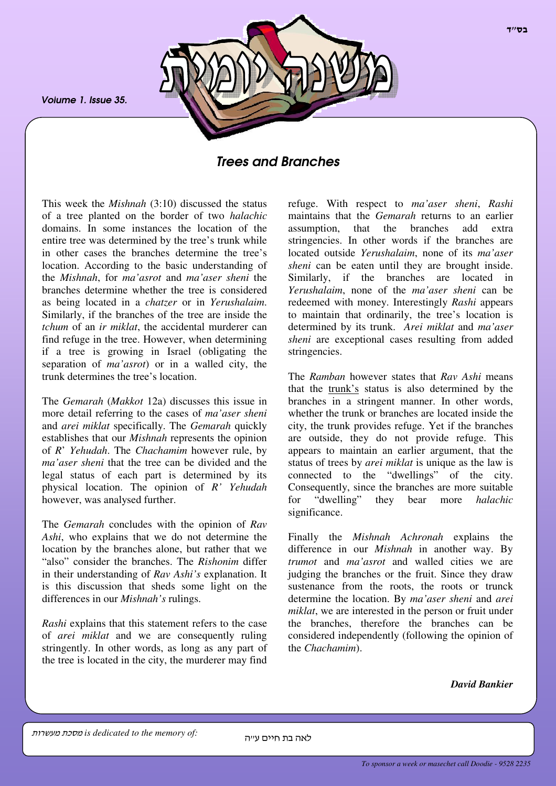*Volume 1. Issue 35.*



# *Trees and Branches*

This week the *Mishnah* (3:10) discussed the status of a tree planted on the border of two *halachic* domains. In some instances the location of the entire tree was determined by the tree's trunk while in other cases the branches determine the tree's location. According to the basic understanding of the *Mishnah*, for *ma'asrot* and *ma'aser sheni* the branches determine whether the tree is considered as being located in a *chatzer* or in *Yerushalaim*. Similarly, if the branches of the tree are inside the *tchum* of an *ir miklat*, the accidental murderer can find refuge in the tree. However, when determining if a tree is growing in Israel (obligating the separation of *ma'asrot*) or in a walled city, the trunk determines the tree's location.

The *Gemarah* (*Makkot* 12a) discusses this issue in more detail referring to the cases of *ma'aser sheni* and *arei miklat* specifically. The *Gemarah* quickly establishes that our *Mishnah* represents the opinion of *R*' *Yehudah*. The *Chachamim* however rule, by *ma'aser sheni* that the tree can be divided and the legal status of each part is determined by its physical location. The opinion of *R' Yehudah* however, was analysed further.

The *Gemarah* concludes with the opinion of *Rav Ashi*, who explains that we do not determine the location by the branches alone, but rather that we "also" consider the branches. The *Rishonim* differ in their understanding of *Rav Ashi's* explanation. It is this discussion that sheds some light on the differences in our *Mishnah's* rulings.

*Rashi* explains that this statement refers to the case of *arei miklat* and we are consequently ruling stringently. In other words, as long as any part of the tree is located in the city, the murderer may find

refuge. With respect to *ma'aser sheni*, *Rashi* maintains that the *Gemarah* returns to an earlier assumption, that the branches add extra stringencies. In other words if the branches are located outside *Yerushalaim*, none of its *ma'aser sheni* can be eaten until they are brought inside. Similarly, if the branches are located in *Yerushalaim*, none of the *ma'aser sheni* can be redeemed with money. Interestingly *Rashi* appears to maintain that ordinarily, the tree's location is determined by its trunk. *Arei miklat* and *ma'aser sheni* are exceptional cases resulting from added stringencies.

The *Ramban* however states that *Rav Ashi* means that the trunk's status is also determined by the branches in a stringent manner. In other words, whether the trunk or branches are located inside the city, the trunk provides refuge. Yet if the branches are outside, they do not provide refuge. This appears to maintain an earlier argument, that the status of trees by *arei miklat* is unique as the law is connected to the "dwellings" of the city. Consequently, since the branches are more suitable for "dwelling" they bear more *halachic* significance.

Finally the *Mishnah Achronah* explains the difference in our *Mishnah* in another way. By *trumot* and *ma'asrot* and walled cities we are judging the branches or the fruit. Since they draw sustenance from the roots, the roots or trunck determine the location. By *ma'aser sheni* and *arei miklat*, we are interested in the person or fruit under the branches, therefore the branches can be considered independently (following the opinion of the *Chachamim*).

*David Bankier*